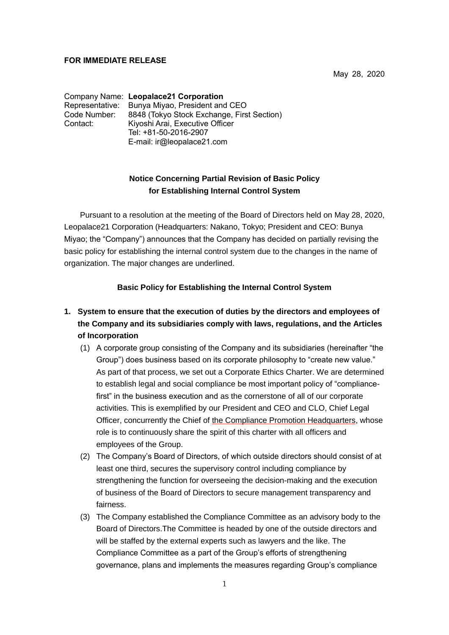# **FOR IMMEDIATE RELEASE**

May 28, 2020

Company Name: **Leopalace21 Corporation** Representative: Bunya Miyao, President and CEO Code Number: 8848 (Tokyo Stock Exchange, First Section)<br>Contact: Kivoshi Arai, Executive Officer Kiyoshi Arai, Executive Officer Tel: +81-50-2016-2907 E-mail: ir@leopalace21.com

# **Notice Concerning Partial Revision of Basic Policy for Establishing Internal Control System**

Pursuant to a resolution at the meeting of the Board of Directors held on May 28, 2020, Leopalace21 Corporation (Headquarters: Nakano, Tokyo; President and CEO: Bunya Miyao; the "Company") announces that the Company has decided on partially revising the basic policy for establishing the internal control system due to the changes in the name of organization. The major changes are underlined.

# **Basic Policy for Establishing the Internal Control System**

# **1. System to ensure that the execution of duties by the directors and employees of the Company and its subsidiaries comply with laws, regulations, and the Articles of Incorporation**

- (1) A corporate group consisting of the Company and its subsidiaries (hereinafter "the Group") does business based on its corporate philosophy to "create new value." As part of that process, we set out a Corporate Ethics Charter. We are determined to establish legal and social compliance be most important policy of "compliancefirst" in the business execution and as the cornerstone of all of our corporate activities. This is exemplified by our President and CEO and CLO, Chief Legal Officer, concurrently the Chief of the Compliance Promotion Headquarters, whose role is to continuously share the spirit of this charter with all officers and employees of the Group.
- (2) The Company's Board of Directors, of which outside directors should consist of at least one third, secures the supervisory control including compliance by strengthening the function for overseeing the decision-making and the execution of business of the Board of Directors to secure management transparency and fairness.
- (3) The Company established the Compliance Committee as an advisory body to the Board of Directors.The Committee is headed by one of the outside directors and will be staffed by the external experts such as lawyers and the like. The Compliance Committee as a part of the Group's efforts of strengthening governance, plans and implements the measures regarding Group's compliance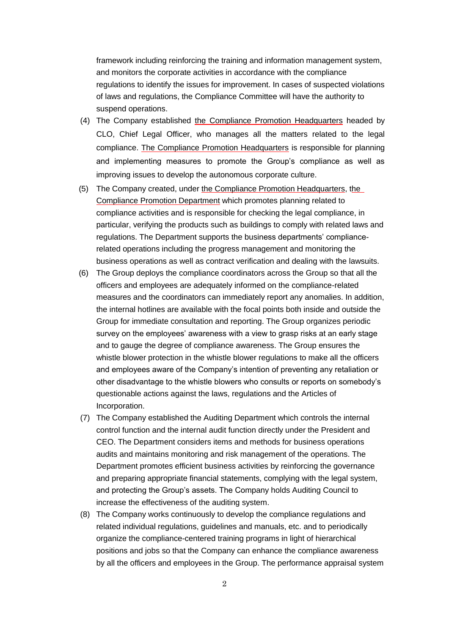framework including reinforcing the training and information management system, and monitors the corporate activities in accordance with the compliance regulations to identify the issues for improvement. In cases of suspected violations of laws and regulations, the Compliance Committee will have the authority to suspend operations.

- (4) The Company established the Compliance Promotion Headquarters headed by CLO, Chief Legal Officer, who manages all the matters related to the legal compliance. The Compliance Promotion Headquarters is responsible for planning and implementing measures to promote the Group's compliance as well as improving issues to develop the autonomous corporate culture.
- (5) The Company created, under the Compliance Promotion Headquarters, the Compliance Promotion Department which promotes planning related to compliance activities and is responsible for checking the legal compliance, in particular, verifying the products such as buildings to comply with related laws and regulations. The Department supports the business departments' compliancerelated operations including the progress management and monitoring the business operations as well as contract verification and dealing with the lawsuits.
- (6) The Group deploys the compliance coordinators across the Group so that all the officers and employees are adequately informed on the compliance-related measures and the coordinators can immediately report any anomalies. In addition, the internal hotlines are available with the focal points both inside and outside the Group for immediate consultation and reporting. The Group organizes periodic survey on the employees' awareness with a view to grasp risks at an early stage and to gauge the degree of compliance awareness. The Group ensures the whistle blower protection in the whistle blower regulations to make all the officers and employees aware of the Company's intention of preventing any retaliation or other disadvantage to the whistle blowers who consults or reports on somebody's questionable actions against the laws, regulations and the Articles of Incorporation.
- (7) The Company established the Auditing Department which controls the internal control function and the internal audit function directly under the President and CEO. The Department considers items and methods for business operations audits and maintains monitoring and risk management of the operations. The Department promotes efficient business activities by reinforcing the governance and preparing appropriate financial statements, complying with the legal system, and protecting the Group's assets. The Company holds Auditing Council to increase the effectiveness of the auditing system.
- (8) The Company works continuously to develop the compliance regulations and related individual regulations, guidelines and manuals, etc. and to periodically organize the compliance-centered training programs in light of hierarchical positions and jobs so that the Company can enhance the compliance awareness by all the officers and employees in the Group. The performance appraisal system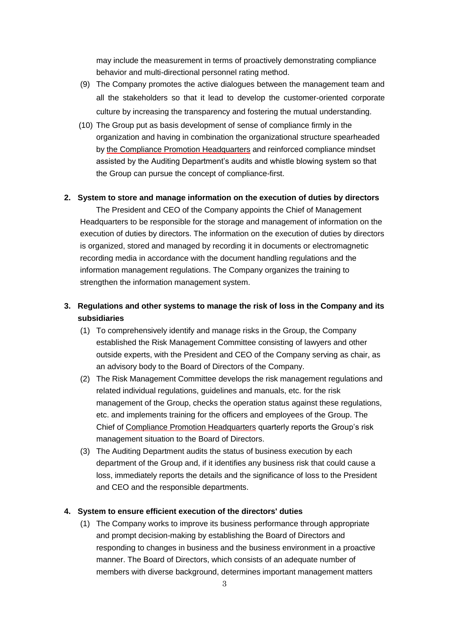may include the measurement in terms of proactively demonstrating compliance behavior and multi-directional personnel rating method.

- (9) The Company promotes the active dialogues between the management team and all the stakeholders so that it lead to develop the customer-oriented corporate culture by increasing the transparency and fostering the mutual understanding.
- (10) The Group put as basis development of sense of compliance firmly in the organization and having in combination the organizational structure spearheaded by the Compliance Promotion Headquarters and reinforced compliance mindset assisted by the Auditing Department's audits and whistle blowing system so that the Group can pursue the concept of compliance-first.

#### **2. System to store and manage information on the execution of duties by directors**

The President and CEO of the Company appoints the Chief of Management Headquarters to be responsible for the storage and management of information on the execution of duties by directors. The information on the execution of duties by directors is organized, stored and managed by recording it in documents or electromagnetic recording media in accordance with the document handling regulations and the information management regulations. The Company organizes the training to strengthen the information management system.

- **3. Regulations and other systems to manage the risk of loss in the Company and its subsidiaries**
	- (1) To comprehensively identify and manage risks in the Group, the Company established the Risk Management Committee consisting of lawyers and other outside experts, with the President and CEO of the Company serving as chair, as an advisory body to the Board of Directors of the Company.
	- (2) The Risk Management Committee develops the risk management regulations and related individual regulations, guidelines and manuals, etc. for the risk management of the Group, checks the operation status against these regulations, etc. and implements training for the officers and employees of the Group. The Chief of Compliance Promotion Headquarters quarterly reports the Group's risk management situation to the Board of Directors.
	- (3) The Auditing Department audits the status of business execution by each department of the Group and, if it identifies any business risk that could cause a loss, immediately reports the details and the significance of loss to the President and CEO and the responsible departments.

# **4. System to ensure efficient execution of the directors' duties**

(1) The Company works to improve its business performance through appropriate and prompt decision-making by establishing the Board of Directors and responding to changes in business and the business environment in a proactive manner. The Board of Directors, which consists of an adequate number of members with diverse background, determines important management matters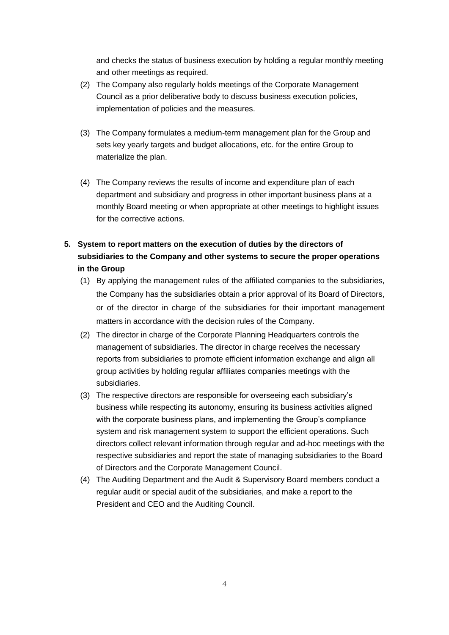and checks the status of business execution by holding a regular monthly meeting and other meetings as required.

- (2) The Company also regularly holds meetings of the Corporate Management Council as a prior deliberative body to discuss business execution policies, implementation of policies and the measures.
- (3) The Company formulates a medium-term management plan for the Group and sets key yearly targets and budget allocations, etc. for the entire Group to materialize the plan.
- (4) The Company reviews the results of income and expenditure plan of each department and subsidiary and progress in other important business plans at a monthly Board meeting or when appropriate at other meetings to highlight issues for the corrective actions.
- **5. System to report matters on the execution of duties by the directors of subsidiaries to the Company and other systems to secure the proper operations in the Group**
	- (1) By applying the management rules of the affiliated companies to the subsidiaries, the Company has the subsidiaries obtain a prior approval of its Board of Directors, or of the director in charge of the subsidiaries for their important management matters in accordance with the decision rules of the Company.
	- (2) The director in charge of the Corporate Planning Headquarters controls the management of subsidiaries. The director in charge receives the necessary reports from subsidiaries to promote efficient information exchange and align all group activities by holding regular affiliates companies meetings with the subsidiaries.
	- (3) The respective directors are responsible for overseeing each subsidiary's business while respecting its autonomy, ensuring its business activities aligned with the corporate business plans, and implementing the Group's compliance system and risk management system to support the efficient operations. Such directors collect relevant information through regular and ad-hoc meetings with the respective subsidiaries and report the state of managing subsidiaries to the Board of Directors and the Corporate Management Council.
	- (4) The Auditing Department and the Audit & Supervisory Board members conduct a regular audit or special audit of the subsidiaries, and make a report to the President and CEO and the Auditing Council.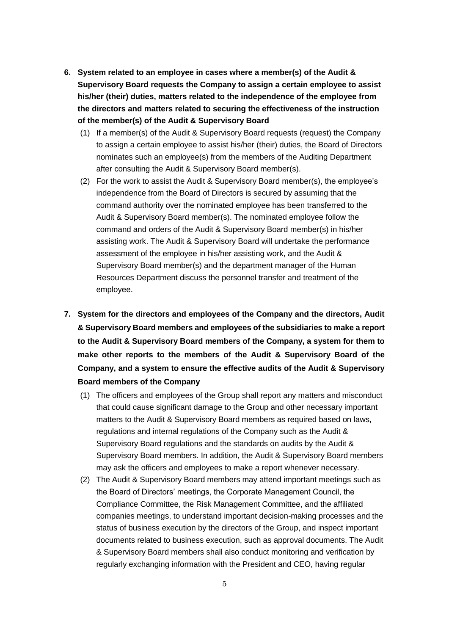- **6. System related to an employee in cases where a member(s) of the Audit & Supervisory Board requests the Company to assign a certain employee to assist his/her (their) duties, matters related to the independence of the employee from the directors and matters related to securing the effectiveness of the instruction of the member(s) of the Audit & Supervisory Board**
	- (1) If a member(s) of the Audit & Supervisory Board requests (request) the Company to assign a certain employee to assist his/her (their) duties, the Board of Directors nominates such an employee(s) from the members of the Auditing Department after consulting the Audit & Supervisory Board member(s).
	- (2) For the work to assist the Audit & Supervisory Board member(s), the employee's independence from the Board of Directors is secured by assuming that the command authority over the nominated employee has been transferred to the Audit & Supervisory Board member(s). The nominated employee follow the command and orders of the Audit & Supervisory Board member(s) in his/her assisting work. The Audit & Supervisory Board will undertake the performance assessment of the employee in his/her assisting work, and the Audit & Supervisory Board member(s) and the department manager of the Human Resources Department discuss the personnel transfer and treatment of the employee.
- **7. System for the directors and employees of the Company and the directors, Audit & Supervisory Board members and employees of the subsidiaries to make a report to the Audit & Supervisory Board members of the Company, a system for them to make other reports to the members of the Audit & Supervisory Board of the Company, and a system to ensure the effective audits of the Audit & Supervisory Board members of the Company**
	- (1) The officers and employees of the Group shall report any matters and misconduct that could cause significant damage to the Group and other necessary important matters to the Audit & Supervisory Board members as required based on laws, regulations and internal regulations of the Company such as the Audit & Supervisory Board regulations and the standards on audits by the Audit & Supervisory Board members. In addition, the Audit & Supervisory Board members may ask the officers and employees to make a report whenever necessary.
	- (2) The Audit & Supervisory Board members may attend important meetings such as the Board of Directors' meetings, the Corporate Management Council, the Compliance Committee, the Risk Management Committee, and the affiliated companies meetings, to understand important decision-making processes and the status of business execution by the directors of the Group, and inspect important documents related to business execution, such as approval documents. The Audit & Supervisory Board members shall also conduct monitoring and verification by regularly exchanging information with the President and CEO, having regular